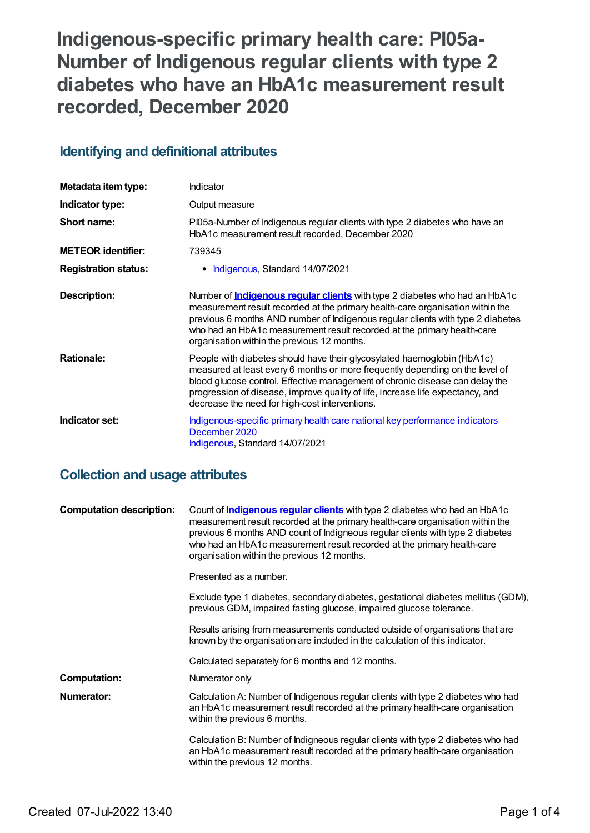**Indigenous-specific primary health care: PI05a-Number of Indigenous regular clients with type 2 diabetes who have an HbA1c measurement result recorded, December 2020**

# **Identifying and definitional attributes**

| Metadata item type:         | <b>Indicator</b>                                                                                                                                                                                                                                                                                                                                                                 |
|-----------------------------|----------------------------------------------------------------------------------------------------------------------------------------------------------------------------------------------------------------------------------------------------------------------------------------------------------------------------------------------------------------------------------|
| Indicator type:             | Output measure                                                                                                                                                                                                                                                                                                                                                                   |
| Short name:                 | PI05a-Number of Indigenous regular clients with type 2 diabetes who have an<br>HbA1c measurement result recorded, December 2020                                                                                                                                                                                                                                                  |
| <b>METEOR identifier:</b>   | 739345                                                                                                                                                                                                                                                                                                                                                                           |
| <b>Registration status:</b> | • <b>Indigenous</b> , Standard 14/07/2021                                                                                                                                                                                                                                                                                                                                        |
| Description:                | Number of <b>Indigenous regular clients</b> with type 2 diabetes who had an HbA1c<br>measurement result recorded at the primary health-care organisation within the<br>previous 6 months AND number of Indigenous regular clients with type 2 diabetes<br>who had an HbA1c measurement result recorded at the primary health-care<br>organisation within the previous 12 months. |
| <b>Rationale:</b>           | People with diabetes should have their glycosylated haemoglobin (HbA1c)<br>measured at least every 6 months or more frequently depending on the level of<br>blood glucose control. Effective management of chronic disease can delay the<br>progression of disease, improve quality of life, increase life expectancy, and<br>decrease the need for high-cost interventions.     |
| Indicator set:              | Indigenous-specific primary health care national key performance indicators<br>December 2020<br>Indigenous, Standard 14/07/2021                                                                                                                                                                                                                                                  |

# **Collection and usage attributes**

| <b>Computation description:</b> | Count of <b>Indigenous regular clients</b> with type 2 diabetes who had an HbA1c<br>measurement result recorded at the primary health-care organisation within the<br>previous 6 months AND count of Indigneous regular clients with type 2 diabetes<br>who had an HbA1c measurement result recorded at the primary health-care<br>organisation within the previous 12 months. |
|---------------------------------|--------------------------------------------------------------------------------------------------------------------------------------------------------------------------------------------------------------------------------------------------------------------------------------------------------------------------------------------------------------------------------|
|                                 | Presented as a number.                                                                                                                                                                                                                                                                                                                                                         |
|                                 | Exclude type 1 diabetes, secondary diabetes, gestational diabetes mellitus (GDM),<br>previous GDM, impaired fasting glucose, impaired glucose tolerance.                                                                                                                                                                                                                       |
|                                 | Results arising from measurements conducted outside of organisations that are<br>known by the organisation are included in the calculation of this indicator.                                                                                                                                                                                                                  |
|                                 | Calculated separately for 6 months and 12 months.                                                                                                                                                                                                                                                                                                                              |
| <b>Computation:</b>             | Numerator only                                                                                                                                                                                                                                                                                                                                                                 |
| Numerator:                      | Calculation A: Number of Indigenous regular clients with type 2 diabetes who had<br>an HbA1c measurement result recorded at the primary health-care organisation<br>within the previous 6 months.                                                                                                                                                                              |
|                                 | Calculation B: Number of Indigneous regular clients with type 2 diabetes who had<br>an HbA1c measurement result recorded at the primary health-care organisation<br>within the previous 12 months.                                                                                                                                                                             |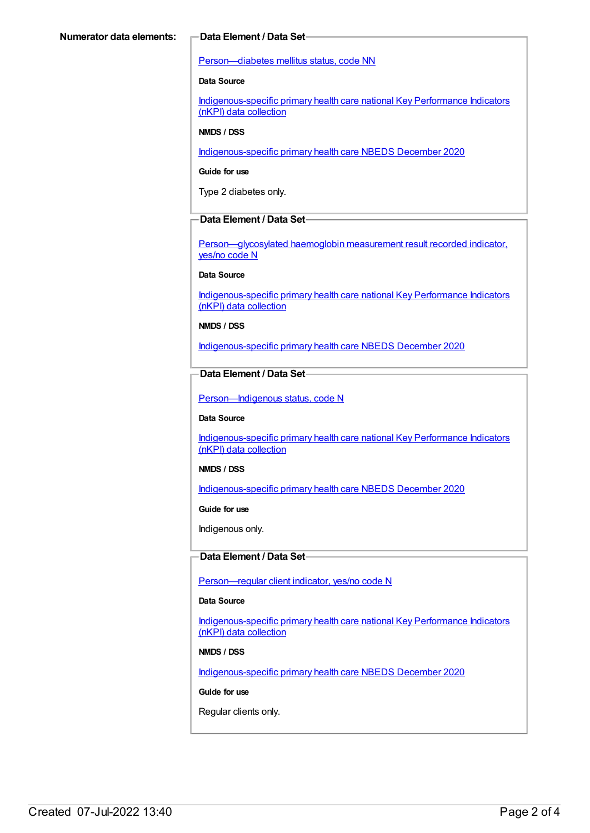## [Person—diabetes](https://meteor.aihw.gov.au/content/270194) mellitus status, code NN

## **Data Source**

[Indigenous-specific](https://meteor.aihw.gov.au/content/737914) primary health care national Key Performance Indicators (nKPI) data collection

### **NMDS / DSS**

[Indigenous-specific](https://meteor.aihw.gov.au/content/738532) primary health care NBEDS December 2020

#### **Guide for use**

Type 2 diabetes only.

## **Data Element / Data Set**

[Person—glycosylated](https://meteor.aihw.gov.au/content/441495) haemoglobin measurement result recorded indicator, yes/no code N

# **Data Source**

[Indigenous-specific](https://meteor.aihw.gov.au/content/737914) primary health care national Key Performance Indicators (nKPI) data collection

### **NMDS / DSS**

[Indigenous-specific](https://meteor.aihw.gov.au/content/738532) primary health care NBEDS December 2020

# **Data Element / Data Set**

Person-Indigenous status, code N

#### **Data Source**

[Indigenous-specific](https://meteor.aihw.gov.au/content/737914) primary health care national Key Performance Indicators (nKPI) data collection

#### **NMDS / DSS**

[Indigenous-specific](https://meteor.aihw.gov.au/content/738532) primary health care NBEDS December 2020

#### **Guide for use**

Indigenous only.

## **Data Element / Data Set**

[Person—regular](https://meteor.aihw.gov.au/content/686291) client indicator, yes/no code N

# **Data Source**

[Indigenous-specific](https://meteor.aihw.gov.au/content/737914) primary health care national Key Performance Indicators (nKPI) data collection

## **NMDS / DSS**

[Indigenous-specific](https://meteor.aihw.gov.au/content/738532) primary health care NBEDS December 2020

## **Guide for use**

Regular clients only.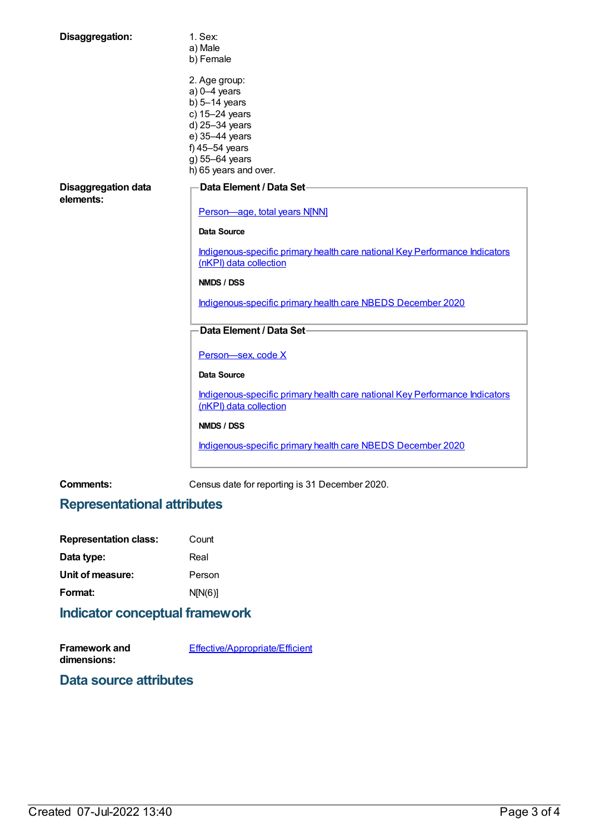| Disaggregation:                         | 1. Sex:                                                                                               |
|-----------------------------------------|-------------------------------------------------------------------------------------------------------|
|                                         | a) Male                                                                                               |
|                                         | b) Female                                                                                             |
|                                         | 2. Age group:                                                                                         |
|                                         | $a) 0-4$ years                                                                                        |
|                                         | b) $5-14$ years                                                                                       |
|                                         | c) 15-24 years                                                                                        |
|                                         | d) 25-34 years                                                                                        |
|                                         | e) 35-44 years                                                                                        |
|                                         | f) 45-54 years                                                                                        |
|                                         | g) 55-64 years                                                                                        |
|                                         | h) 65 years and over.                                                                                 |
|                                         |                                                                                                       |
| <b>Disaggregation data</b><br>elements: | Data Element / Data Set-                                                                              |
|                                         | Person-age, total years N[NN]                                                                         |
|                                         | Data Source                                                                                           |
|                                         | Indigenous-specific primary health care national Key Performance Indicators<br>(nKPI) data collection |
|                                         | <b>NMDS / DSS</b>                                                                                     |
|                                         | Indigenous-specific primary health care NBEDS December 2020                                           |
|                                         |                                                                                                       |
|                                         | Data Element / Data Set-                                                                              |
|                                         | Person-sex, code X                                                                                    |
|                                         | <b>Data Source</b>                                                                                    |
|                                         | Indigenous-specific primary health care national Key Performance Indicators<br>(nKPI) data collection |
|                                         | <b>NMDS / DSS</b>                                                                                     |
|                                         | Indigenous-specific primary health care NBEDS December 2020                                           |

**Comments:** Census date for reporting is 31 December 2020.

# **Representational attributes**

| <b>Representation class:</b> | Count   |
|------------------------------|---------|
| Data type:                   | Real    |
| Unit of measure:             | Person  |
| Format:                      | N[N(6)] |
|                              |         |

# **Indicator conceptual framework**

**Framework and dimensions:** [Effective/Appropriate/Efficient](https://meteor.aihw.gov.au/content/410681)

# **Data source attributes**